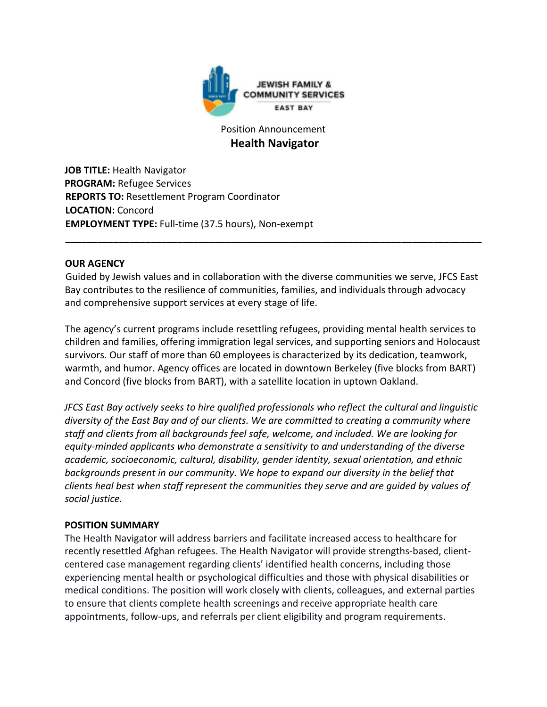

# Position Announcement  **Health Navigator**

**JOB TITLE:** Health Navigator **PROGRAM:** Refugee Services **REPORTS TO:** Resettlement Program Coordinator **LOCATION:** Concord **EMPLOYMENT TYPE:** Full-time (37.5 hours), Non-exempt

### **OUR AGENCY**

Guided by Jewish values and in collaboration with the diverse communities we serve, JFCS East Bay contributes to the resilience of communities, families, and individuals through advocacy and comprehensive support services at every stage of life.

**\_\_\_\_\_\_\_\_\_\_\_\_\_\_\_\_\_\_\_\_\_\_\_\_\_\_\_\_\_\_\_\_\_\_\_\_\_\_\_\_\_\_\_\_\_\_\_\_\_\_\_\_\_\_\_\_\_\_\_\_\_\_\_\_\_\_\_\_\_\_\_\_\_\_\_\_\_\_**

The agency's current programs include resettling refugees, providing mental health services to children and families, offering immigration legal services, and supporting seniors and Holocaust survivors. Our staff of more than 60 employees is characterized by its dedication, teamwork, warmth, and humor. Agency offices are located in downtown Berkeley (five blocks from BART) and Concord (five blocks from BART), with a satellite location in uptown Oakland.

*JFCS East Bay actively seeks to hire qualified professionals who reflect the cultural and linguistic diversity of the East Bay and of our clients. We are committed to creating a community where staff and clients from all backgrounds feel safe, welcome, and included. We are looking for equity-minded applicants who demonstrate a sensitivity to and understanding of the diverse academic, socioeconomic, cultural, disability, gender identity, sexual orientation, and ethnic backgrounds present in our community. We hope to expand our diversity in the belief that clients heal best when staff represent the communities they serve and are guided by values of social justice.* 

#### **POSITION SUMMARY**

The Health Navigator will address barriers and facilitate increased access to healthcare for recently resettled Afghan refugees. The Health Navigator will provide strengths-based, clientcentered case management regarding clients' identified health concerns, including those experiencing mental health or psychological difficulties and those with physical disabilities or medical conditions. The position will work closely with clients, colleagues, and external parties to ensure that clients complete health screenings and receive appropriate health care appointments, follow-ups, and referrals per client eligibility and program requirements.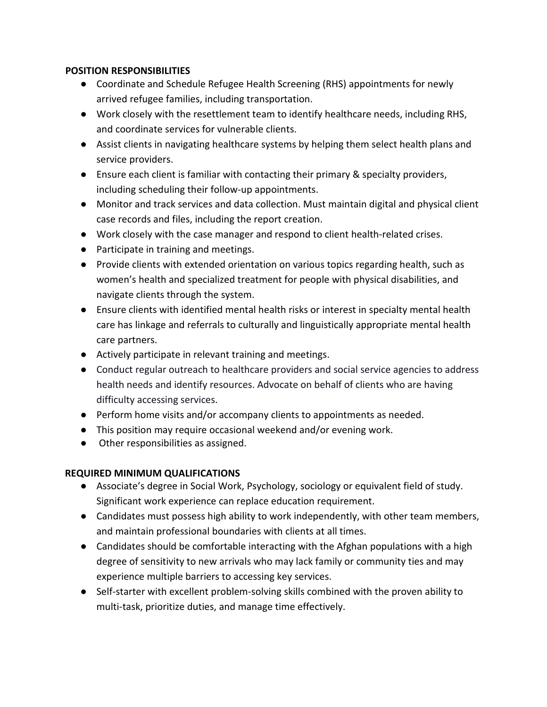### **POSITION RESPONSIBILITIES**

- Coordinate and Schedule Refugee Health Screening (RHS) appointments for newly arrived refugee families, including transportation.
- Work closely with the resettlement team to identify healthcare needs, including RHS, and coordinate services for vulnerable clients.
- Assist clients in navigating healthcare systems by helping them select health plans and service providers.
- Ensure each client is familiar with contacting their primary & specialty providers, including scheduling their follow-up appointments.
- Monitor and track services and data collection. Must maintain digital and physical client case records and files, including the report creation.
- Work closely with the case manager and respond to client health-related crises.
- Participate in training and meetings.
- Provide clients with extended orientation on various topics regarding health, such as women's health and specialized treatment for people with physical disabilities, and navigate clients through the system.
- Ensure clients with identified mental health risks or interest in specialty mental health care has linkage and referrals to culturally and linguistically appropriate mental health care partners.
- Actively participate in relevant training and meetings.
- Conduct regular outreach to healthcare providers and social service agencies to address health needs and identify resources. Advocate on behalf of clients who are having difficulty accessing services.
- Perform home visits and/or accompany clients to appointments as needed.
- This position may require occasional weekend and/or evening work.
- Other responsibilities as assigned.

# **REQUIRED MINIMUM QUALIFICATIONS**

- Associate's degree in Social Work, Psychology, sociology or equivalent field of study. Significant work experience can replace education requirement.
- Candidates must possess high ability to work independently, with other team members, and maintain professional boundaries with clients at all times.
- Candidates should be comfortable interacting with the Afghan populations with a high degree of sensitivity to new arrivals who may lack family or community ties and may experience multiple barriers to accessing key services.
- Self-starter with excellent problem-solving skills combined with the proven ability to multi-task, prioritize duties, and manage time effectively.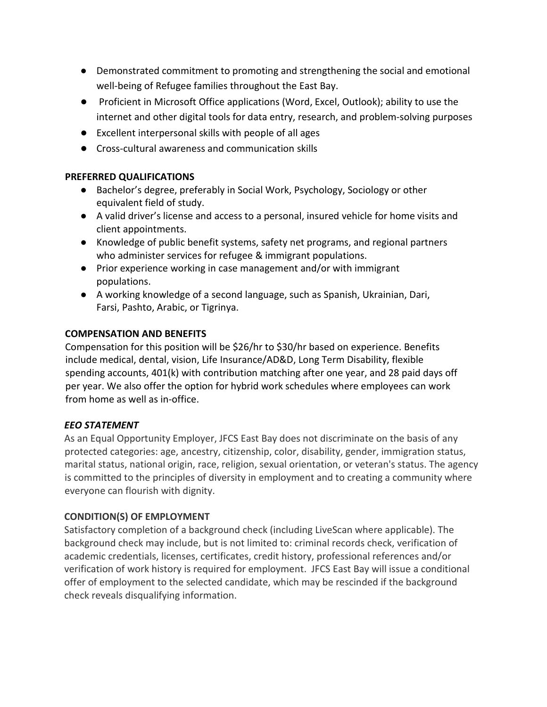- Demonstrated commitment to promoting and strengthening the social and emotional well-being of Refugee families throughout the East Bay.
- Proficient in Microsoft Office applications (Word, Excel, Outlook); ability to use the internet and other digital tools for data entry, research, and problem-solving purposes
- Excellent interpersonal skills with people of all ages
- Cross-cultural awareness and communication skills

### **PREFERRED QUALIFICATIONS**

- Bachelor's degree, preferably in Social Work, Psychology, Sociology or other equivalent field of study.
- A valid driver's license and access to a personal, insured vehicle for home visits and client appointments.
- Knowledge of public benefit systems, safety net programs, and regional partners who administer services for refugee & immigrant populations.
- Prior experience working in case management and/or with immigrant populations.
- A working knowledge of a second language, such as Spanish, Ukrainian, Dari, Farsi, Pashto, Arabic, or Tigrinya.

# **COMPENSATION AND BENEFITS**

Compensation for this position will be \$26/hr to \$30/hr based on experience. Benefits include medical, dental, vision, Life Insurance/AD&D, Long Term Disability, flexible spending accounts, 401(k) with contribution matching after one year, and 28 paid days off per year. We also offer the option for hybrid work schedules where employees can work from home as well as in-office.

# *EEO STATEMENT*

As an Equal Opportunity Employer, JFCS East Bay does not discriminate on the basis of any protected categories: age, ancestry, citizenship, color, disability, gender, immigration status, marital status, national origin, race, religion, sexual orientation, or veteran's status. The agency is committed to the principles of diversity in employment and to creating a community where everyone can flourish with dignity.

# **CONDITION(S) OF EMPLOYMENT**

Satisfactory completion of a background check (including LiveScan where applicable). The background check may include, but is not limited to: criminal records check, verification of academic credentials, licenses, certificates, credit history, professional references and/or verification of work history is required for employment. JFCS East Bay will issue a conditional offer of employment to the selected candidate, which may be rescinded if the background check reveals disqualifying information.